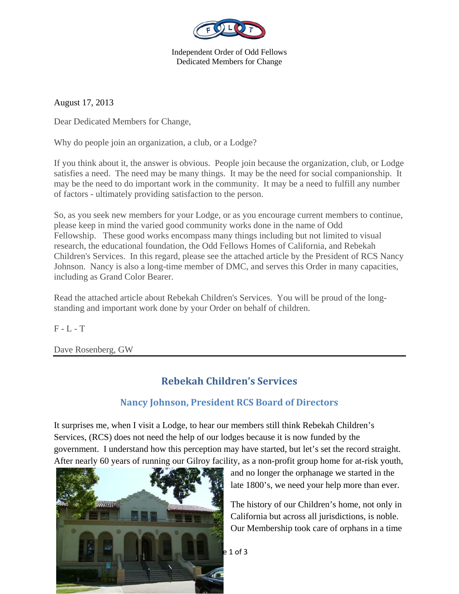

Independent Order of Odd Fellows Dedicated Members for Change

August 17, 2013

Dear Dedicated Members for Change,

Why do people join an organization, a club, or a Lodge?

If you think about it, the answer is obvious. People join because the organization, club, or Lodge satisfies a need. The need may be many things. It may be the need for social companionship. It may be the need to do important work in the community. It may be a need to fulfill any number of factors - ultimately providing satisfaction to the person.

So, as you seek new members for your Lodge, or as you encourage current members to continue, please keep in mind the varied good community works done in the name of Odd Fellowship. These good works encompass many things including but not limited to visual research, the educational foundation, the Odd Fellows Homes of California, and Rebekah Children's Services. In this regard, please see the attached article by the President of RCS Nancy Johnson. Nancy is also a long-time member of DMC, and serves this Order in many capacities, including as Grand Color Bearer.

Read the attached article about Rebekah Children's Services. You will be proud of the longstanding and important work done by your Order on behalf of children.

 $F - L - T$ 

Dave Rosenberg, GW

## **Rebekah Children's Services**

## **Nancy Johnson, President RCS Board of Directors**

It surprises me, when I visit a Lodge, to hear our members still think Rebekah Children's Services, (RCS) does not need the help of our lodges because it is now funded by the government. I understand how this perception may have started, but let's set the record straight. After nearly 60 years of running our Gilroy facility, as a non-profit group home for at-risk youth,



and no longer the orphanage we started in the late 1800's, we need your help more than ever.

The history of our Children's home, not only in California but across all jurisdictions, is noble. Our Membership took care of orphans in a time

 $e 1$  of 3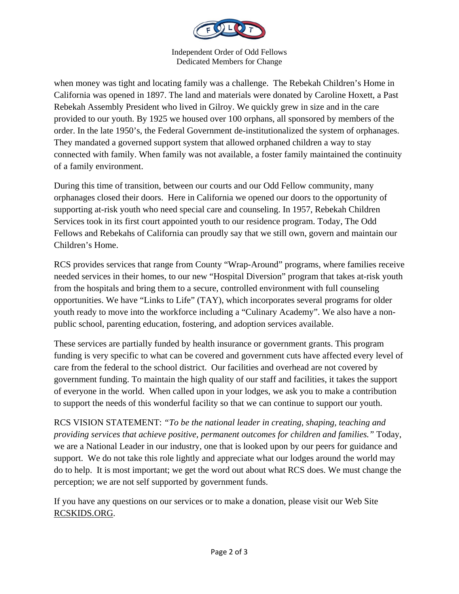

Independent Order of Odd Fellows Dedicated Members for Change

when money was tight and locating family was a challenge. The Rebekah Children's Home in California was opened in 1897. The land and materials were donated by Caroline Hoxett, a Past Rebekah Assembly President who lived in Gilroy. We quickly grew in size and in the care provided to our youth. By 1925 we housed over 100 orphans, all sponsored by members of the order. In the late 1950's, the Federal Government de-institutionalized the system of orphanages. They mandated a governed support system that allowed orphaned children a way to stay connected with family. When family was not available, a foster family maintained the continuity of a family environment.

During this time of transition, between our courts and our Odd Fellow community, many orphanages closed their doors. Here in California we opened our doors to the opportunity of supporting at-risk youth who need special care and counseling. In 1957, Rebekah Children Services took in its first court appointed youth to our residence program. Today, The Odd Fellows and Rebekahs of California can proudly say that we still own, govern and maintain our Children's Home.

RCS provides services that range from County "Wrap-Around" programs, where families receive needed services in their homes, to our new "Hospital Diversion" program that takes at-risk youth from the hospitals and bring them to a secure, controlled environment with full counseling opportunities. We have "Links to Life" (TAY), which incorporates several programs for older youth ready to move into the workforce including a "Culinary Academy". We also have a nonpublic school, parenting education, fostering, and adoption services available.

These services are partially funded by health insurance or government grants. This program funding is very specific to what can be covered and government cuts have affected every level of care from the federal to the school district. Our facilities and overhead are not covered by government funding. To maintain the high quality of our staff and facilities, it takes the support of everyone in the world. When called upon in your lodges, we ask you to make a contribution to support the needs of this wonderful facility so that we can continue to support our youth.

RCS VISION STATEMENT: *"To be the national leader in creating, shaping, teaching and providing services that achieve positive, permanent outcomes for children and families."* Today, we are a National Leader in our industry, one that is looked upon by our peers for guidance and support. We do not take this role lightly and appreciate what our lodges around the world may do to help. It is most important; we get the word out about what RCS does. We must change the perception; we are not self supported by government funds.

If you have any questions on our services or to make a donation, please visit our Web Site RCSKIDS.ORG.